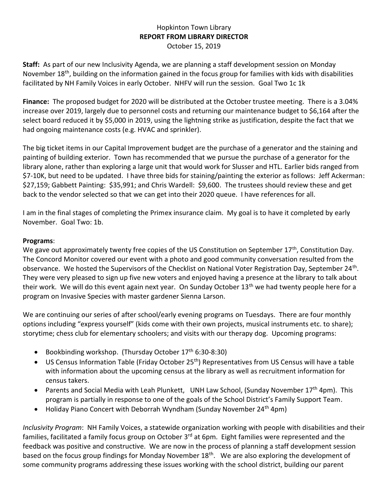## Hopkinton Town Library **REPORT FROM LIBRARY DIRECTOR** October 15, 2019

**Staff:** As part of our new Inclusivity Agenda, we are planning a staff development session on Monday November 18<sup>th</sup>, building on the information gained in the focus group for families with kids with disabilities facilitated by NH Family Voices in early October. NHFV will run the session. Goal Two 1c 1k

**Finance:** The proposed budget for 2020 will be distributed at the October trustee meeting. There is a 3.04% increase over 2019, largely due to personnel costs and returning our maintenance budget to \$6,164 after the select board reduced it by \$5,000 in 2019, using the lightning strike as justification, despite the fact that we had ongoing maintenance costs (e.g. HVAC and sprinkler).

The big ticket items in our Capital Improvement budget are the purchase of a generator and the staining and painting of building exterior. Town has recommended that we pursue the purchase of a generator for the library alone, rather than exploring a large unit that would work for Slusser and HTL. Earlier bids ranged from \$7-10K, but need to be updated. I have three bids for staining/painting the exterior as follows: Jeff Ackerman: \$27,159; Gabbett Painting: \$35,991; and Chris Wardell: \$9,600. The trustees should review these and get back to the vendor selected so that we can get into their 2020 queue. I have references for all.

I am in the final stages of completing the Primex insurance claim. My goal is to have it completed by early November. Goal Two: 1b.

## **Programs**:

We gave out approximately twenty free copies of the US Constitution on September 17<sup>th</sup>, Constitution Day. The Concord Monitor covered our event with a photo and good community conversation resulted from the observance. We hosted the Supervisors of the Checklist on National Voter Registration Day, September 24<sup>th</sup>. They were very pleased to sign up five new voters and enjoyed having a presence at the library to talk about their work. We will do this event again next year. On Sunday October 13<sup>th</sup> we had twenty people here for a program on Invasive Species with master gardener Sienna Larson.

We are continuing our series of after school/early evening programs on Tuesdays. There are four monthly options including "express yourself" (kids come with their own projects, musical instruments etc. to share); storytime; chess club for elementary schoolers; and visits with our therapy dog. Upcoming programs:

- Bookbinding workshop. (Thursday October 17<sup>th</sup> 6:30-8:30)
- US Census Information Table (Friday October 25<sup>th</sup>) Representatives from US Census will have a table with information about the upcoming census at the library as well as recruitment information for census takers.
- Parents and Social Media with Leah Plunkett, UNH Law School, (Sunday November 17<sup>th</sup> 4pm). This program is partially in response to one of the goals of the School District's Family Support Team.
- Holiday Piano Concert with Deborrah Wyndham (Sunday November 24<sup>th</sup> 4pm)

*Inclusivity Program*: NH Family Voices, a statewide organization working with people with disabilities and their families, facilitated a family focus group on October 3<sup>rd</sup> at 6pm. Eight families were represented and the feedback was positive and constructive. We are now in the process of planning a staff development session based on the focus group findings for Monday November 18<sup>th</sup>. We are also exploring the development of some community programs addressing these issues working with the school district, building our parent